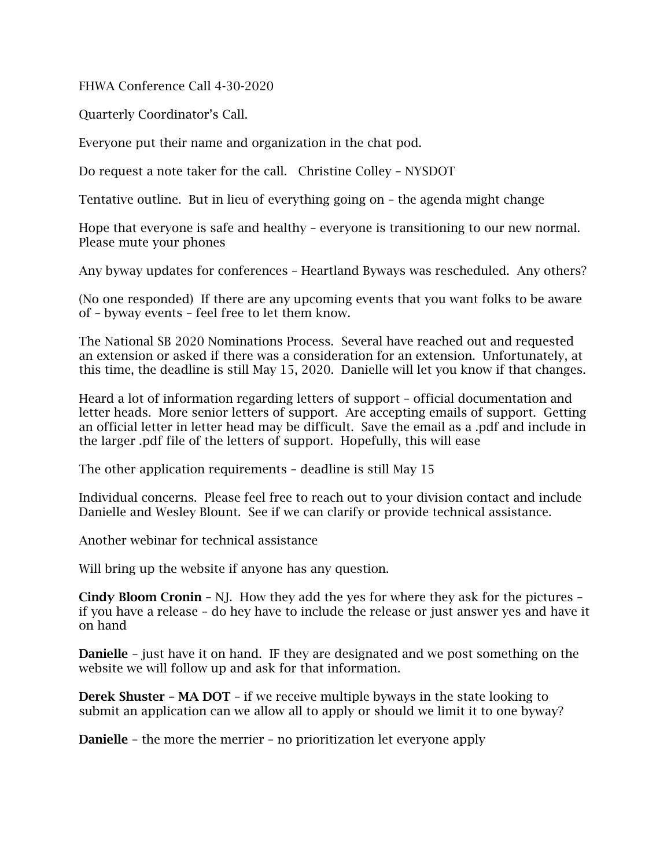FHWA Conference Call 4-30-2020

Quarterly Coordinator's Call.

Everyone put their name and organization in the chat pod.

Do request a note taker for the call. Christine Colley – NYSDOT

Tentative outline. But in lieu of everything going on – the agenda might change

Hope that everyone is safe and healthy – everyone is transitioning to our new normal. Please mute your phones

Any byway updates for conferences – Heartland Byways was rescheduled. Any others?

(No one responded) If there are any upcoming events that you want folks to be aware of – byway events – feel free to let them know.

The National SB 2020 Nominations Process. Several have reached out and requested an extension or asked if there was a consideration for an extension. Unfortunately, at this time, the deadline is still May 15, 2020. Danielle will let you know if that changes.

Heard a lot of information regarding letters of support – official documentation and letter heads. More senior letters of support. Are accepting emails of support. Getting an official letter in letter head may be difficult. Save the email as a .pdf and include in the larger .pdf file of the letters of support. Hopefully, this will ease

The other application requirements – deadline is still May 15

Individual concerns. Please feel free to reach out to your division contact and include Danielle and Wesley Blount. See if we can clarify or provide technical assistance.

Another webinar for technical assistance

Will bring up the website if anyone has any question.

Cindy Bloom Cronin – NJ. How they add the yes for where they ask for the pictures – if you have a release – do hey have to include the release or just answer yes and have it on hand

Danielle – just have it on hand. IF they are designated and we post something on the website we will follow up and ask for that information.

Derek Shuster – MA DOT – if we receive multiple byways in the state looking to submit an application can we allow all to apply or should we limit it to one byway?

Danielle – the more the merrier – no prioritization let everyone apply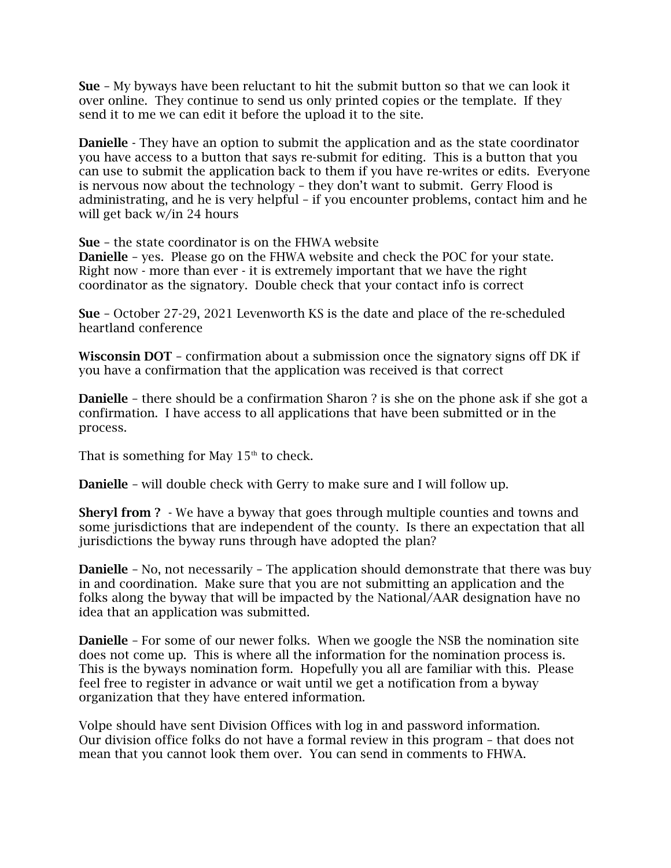Sue – My byways have been reluctant to hit the submit button so that we can look it over online. They continue to send us only printed copies or the template. If they send it to me we can edit it before the upload it to the site.

Danielle - They have an option to submit the application and as the state coordinator you have access to a button that says re-submit for editing. This is a button that you can use to submit the application back to them if you have re-writes or edits. Everyone is nervous now about the technology – they don't want to submit. Gerry Flood is administrating, and he is very helpful – if you encounter problems, contact him and he will get back w/in 24 hours

Sue – the state coordinator is on the FHWA website

Danielle – yes. Please go on the FHWA website and check the POC for your state. Right now - more than ever - it is extremely important that we have the right coordinator as the signatory. Double check that your contact info is correct

Sue – October 27-29, 2021 Levenworth KS is the date and place of the re-scheduled heartland conference

Wisconsin DOT – confirmation about a submission once the signatory signs off DK if you have a confirmation that the application was received is that correct

Danielle – there should be a confirmation Sharon ? is she on the phone ask if she got a confirmation. I have access to all applications that have been submitted or in the process.

That is something for May  $15<sup>th</sup>$  to check.

Danielle – will double check with Gerry to make sure and I will follow up.

Sheryl from ? - We have a byway that goes through multiple counties and towns and some jurisdictions that are independent of the county. Is there an expectation that all jurisdictions the byway runs through have adopted the plan?

**Danielle** – No, not necessarily – The application should demonstrate that there was buy in and coordination. Make sure that you are not submitting an application and the folks along the byway that will be impacted by the National/AAR designation have no idea that an application was submitted.

Danielle – For some of our newer folks. When we google the NSB the nomination site does not come up. This is where all the information for the nomination process is. This is the byways nomination form. Hopefully you all are familiar with this. Please feel free to register in advance or wait until we get a notification from a byway organization that they have entered information.

Volpe should have sent Division Offices with log in and password information. Our division office folks do not have a formal review in this program – that does not mean that you cannot look them over. You can send in comments to FHWA.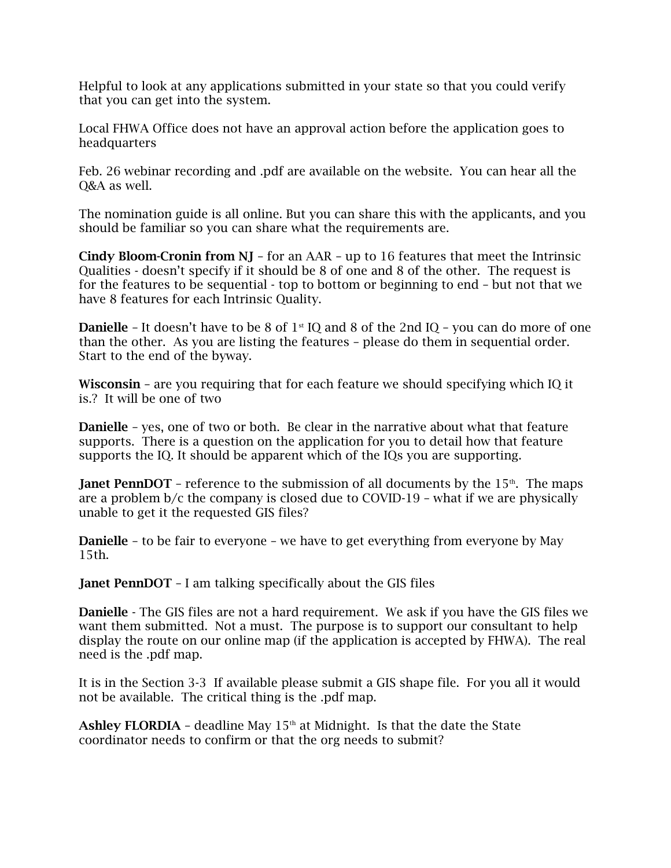Helpful to look at any applications submitted in your state so that you could verify that you can get into the system.

Local FHWA Office does not have an approval action before the application goes to headquarters

Feb. 26 webinar recording and .pdf are available on the website. You can hear all the Q&A as well.

The nomination guide is all online. But you can share this with the applicants, and you should be familiar so you can share what the requirements are.

Cindy Bloom-Cronin from  $NI$  – for an AAR – up to 16 features that meet the Intrinsic Qualities - doesn't specify if it should be 8 of one and 8 of the other. The request is for the features to be sequential - top to bottom or beginning to end – but not that we have 8 features for each Intrinsic Quality.

**Danielle** – It doesn't have to be 8 of  $1<sup>st</sup>$  IQ and 8 of the 2nd IQ – you can do more of one than the other. As you are listing the features – please do them in sequential order. Start to the end of the byway.

Wisconsin – are you requiring that for each feature we should specifying which IQ it is.? It will be one of two

Danielle – yes, one of two or both. Be clear in the narrative about what that feature supports. There is a question on the application for you to detail how that feature supports the IQ. It should be apparent which of the IQs you are supporting.

**Janet PennDOT** – reference to the submission of all documents by the  $15<sup>th</sup>$ . The maps are a problem b/c the company is closed due to COVID-19 – what if we are physically unable to get it the requested GIS files?

Danielle – to be fair to everyone – we have to get everything from everyone by May 15th.

Janet PennDOT – I am talking specifically about the GIS files

Danielle - The GIS files are not a hard requirement. We ask if you have the GIS files we want them submitted. Not a must. The purpose is to support our consultant to help display the route on our online map (if the application is accepted by FHWA). The real need is the .pdf map.

It is in the Section 3-3 If available please submit a GIS shape file. For you all it would not be available. The critical thing is the .pdf map.

Ashley FLORDIA - deadline May  $15<sup>th</sup>$  at Midnight. Is that the date the State coordinator needs to confirm or that the org needs to submit?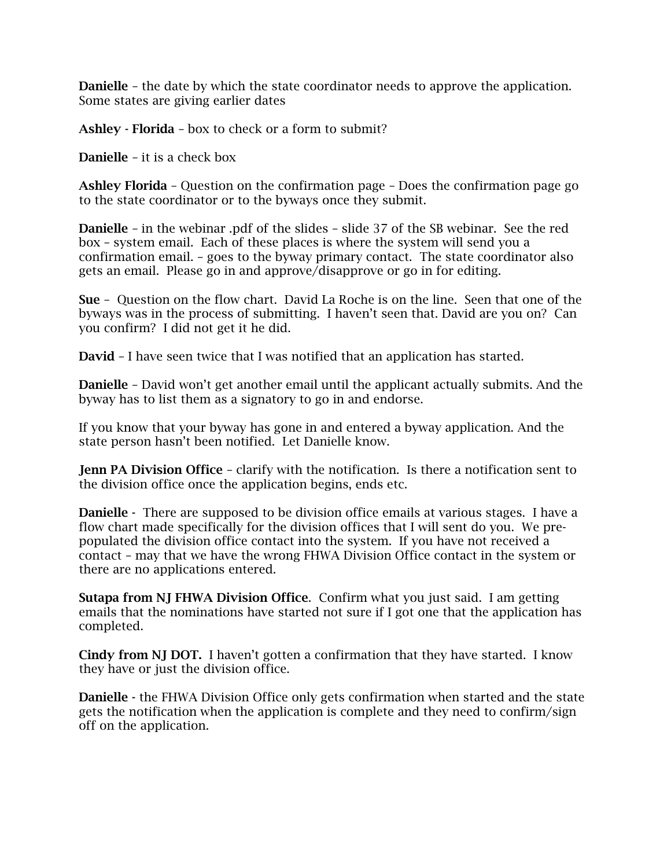Danielle – the date by which the state coordinator needs to approve the application. Some states are giving earlier dates

Ashley - Florida – box to check or a form to submit?

Danielle – it is a check box

Ashley Florida – Question on the confirmation page – Does the confirmation page go to the state coordinator or to the byways once they submit.

Danielle – in the webinar .pdf of the slides – slide 37 of the SB webinar. See the red box – system email. Each of these places is where the system will send you a confirmation email. – goes to the byway primary contact. The state coordinator also gets an email. Please go in and approve/disapprove or go in for editing.

Sue – Question on the flow chart. David La Roche is on the line. Seen that one of the byways was in the process of submitting. I haven't seen that. David are you on? Can you confirm? I did not get it he did.

David – I have seen twice that I was notified that an application has started.

Danielle – David won't get another email until the applicant actually submits. And the byway has to list them as a signatory to go in and endorse.

If you know that your byway has gone in and entered a byway application. And the state person hasn't been notified. Let Danielle know.

Jenn PA Division Office - clarify with the notification. Is there a notification sent to the division office once the application begins, ends etc.

Danielle - There are supposed to be division office emails at various stages. I have a flow chart made specifically for the division offices that I will sent do you. We prepopulated the division office contact into the system. If you have not received a contact – may that we have the wrong FHWA Division Office contact in the system or there are no applications entered.

Sutapa from NJ FHWA Division Office. Confirm what you just said. I am getting emails that the nominations have started not sure if I got one that the application has completed.

Cindy from NJ DOT. I haven't gotten a confirmation that they have started. I know they have or just the division office.

Danielle - the FHWA Division Office only gets confirmation when started and the state gets the notification when the application is complete and they need to confirm/sign off on the application.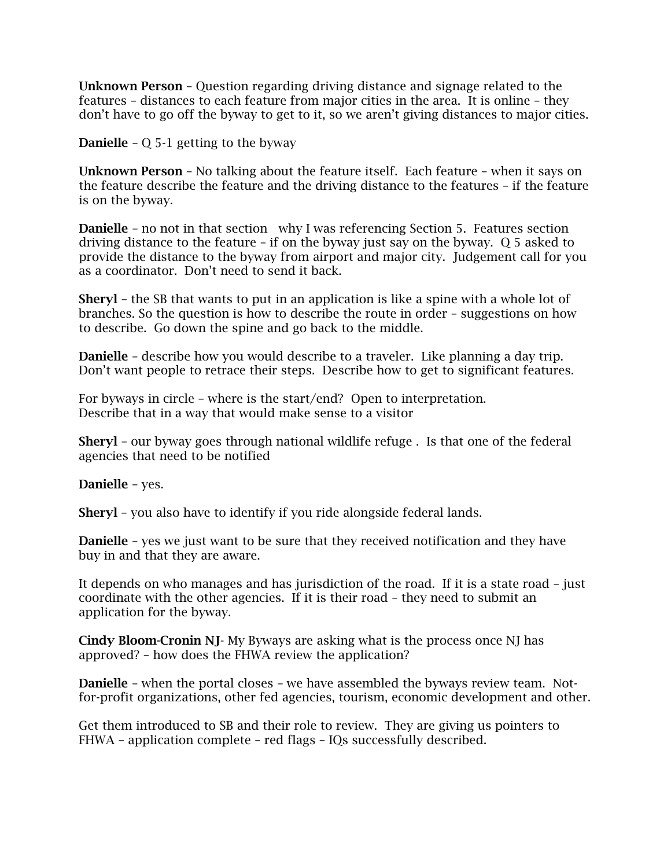Unknown Person – Question regarding driving distance and signage related to the features – distances to each feature from major cities in the area. It is online – they don't have to go off the byway to get to it, so we aren't giving distances to major cities.

**Danielle** –  $\overline{O}$  5-1 getting to the byway

Unknown Person – No talking about the feature itself. Each feature – when it says on the feature describe the feature and the driving distance to the features – if the feature is on the byway.

Danielle – no not in that section why I was referencing Section 5. Features section driving distance to the feature – if on the byway just say on the byway. Q 5 asked to provide the distance to the byway from airport and major city. Judgement call for you as a coordinator. Don't need to send it back.

Sheryl – the SB that wants to put in an application is like a spine with a whole lot of branches. So the question is how to describe the route in order – suggestions on how to describe. Go down the spine and go back to the middle.

Danielle – describe how you would describe to a traveler. Like planning a day trip. Don't want people to retrace their steps. Describe how to get to significant features.

For byways in circle – where is the start/end? Open to interpretation. Describe that in a way that would make sense to a visitor

Sheryl – our byway goes through national wildlife refuge . Is that one of the federal agencies that need to be notified

Danielle – yes.

Sheryl – you also have to identify if you ride alongside federal lands.

**Danielle** - yes we just want to be sure that they received notification and they have buy in and that they are aware.

It depends on who manages and has jurisdiction of the road. If it is a state road – just coordinate with the other agencies. If it is their road – they need to submit an application for the byway.

Cindy Bloom-Cronin NJ- My Byways are asking what is the process once NJ has approved? – how does the FHWA review the application?

Danielle – when the portal closes – we have assembled the byways review team. Notfor-profit organizations, other fed agencies, tourism, economic development and other.

Get them introduced to SB and their role to review. They are giving us pointers to FHWA – application complete – red flags – IQs successfully described.